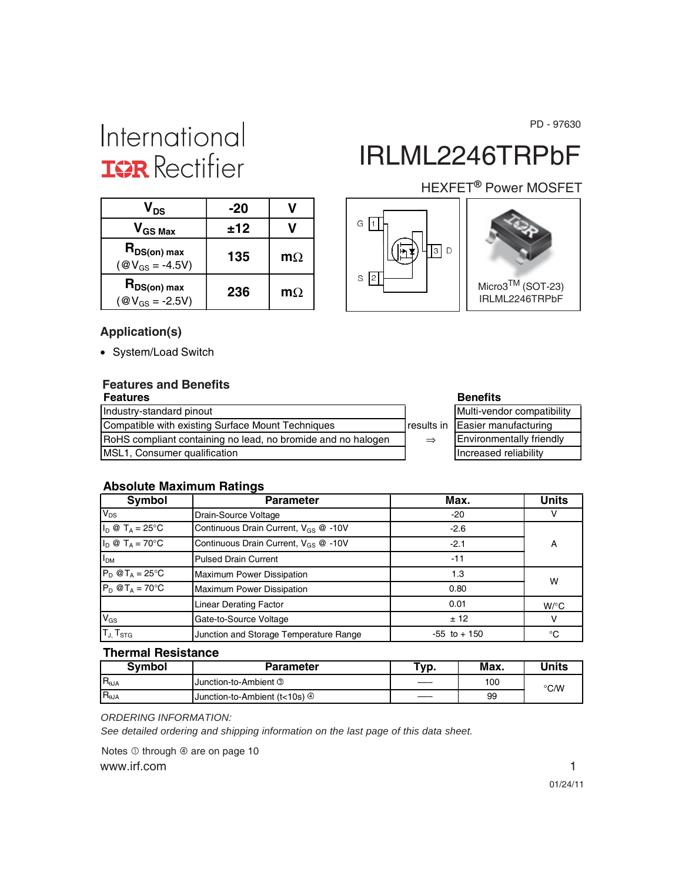PD - 97630

# International **IGR** Rectifier

| V <sub>DS</sub>                                | -20 |           |
|------------------------------------------------|-----|-----------|
| $V_{GS\,Max}$                                  | ±12 |           |
| $R_{DS(on) max}$<br>$(\text{@V}_{GS} = -4.5V)$ | 135 | $m\Omega$ |
| $R_{DS(on) max}$<br>$(\text{@V}_{GS} = -2.5V)$ | 236 | $m\Omega$ |

# IRLML2246TRPbF

#### HEXFET<sup>®</sup> Power MOSFET





#### **Application(s)**

• System/Load Switch

### **Features and Benefits**

| <b>Features</b>                                              |               | <b>Benefits</b>                 |
|--------------------------------------------------------------|---------------|---------------------------------|
| Industry-standard pinout                                     |               | Multi-vendor compatibility      |
| Compatible with existing Surface Mount Techniques            |               | results in Easier manufacturing |
| RoHS compliant containing no lead, no bromide and no halogen | $\Rightarrow$ | <b>Environmentally friendly</b> |
| MSL1, Consumer qualification                                 |               | Increased reliability           |

| <b>Benefits</b>            |
|----------------------------|
| Multi-vendor compatibility |
| Easier manufacturing       |
| Environmentally friendly   |
| Increased reliability      |

#### **Absolute Maximum Ratings**

| Symbol                                               | <b>Parameter</b>                                 | Max.            | <b>Units</b>       |
|------------------------------------------------------|--------------------------------------------------|-----------------|--------------------|
| $V_{DS}$                                             | Drain-Source Voltage                             | $-20$           |                    |
| $I_D \otimes T_A = 25$ °C                            | Continuous Drain Current, V <sub>GS</sub> @ -10V | $-2.6$          |                    |
| $I_D \otimes T_A = 70^{\circ}C$                      | Continuous Drain Current, $V_{GS}$ @ -10V        | $-2.1$          | A                  |
| I <sub>DM</sub>                                      | <b>Pulsed Drain Current</b>                      | $-11$           |                    |
| $P_D$ @T <sub>A</sub> = 25°C                         | <b>Maximum Power Dissipation</b>                 | 1.3             | W                  |
| $P_D @T_A = 70^\circ C$<br>Maximum Power Dissipation |                                                  | 0.80            |                    |
|                                                      | <b>Linear Derating Factor</b>                    | 0.01            | $W$ <sup>o</sup> C |
| $V_{GS}$                                             | Gate-to-Source Voltage                           | ± 12            | v                  |
| $T_{J}$ , $T_{STG}$                                  | Junction and Storage Temperature Range           | $-55$ to $+150$ | °C                 |

#### **Thermal Resistance**

| <b>Symbol</b>  | <b>Parameter</b>                           | Typ. | Max. | Units |
|----------------|--------------------------------------------|------|------|-------|
| $R_{\theta$ JA | I Junction-to-Ambient <sup>3</sup>         |      | 100  | °C/W  |
| $R_{\theta$ JA | Uunction-to-Ambient (t<10s) $\circledcirc$ | ——   | 99   |       |

*ORDERING INFORMATION:*

*See detailed ordering and shipping information on the last page of this data sheet.*

www.irf.com 1 Notes  $\overline{0}$  through  $\overline{0}$  are on page 10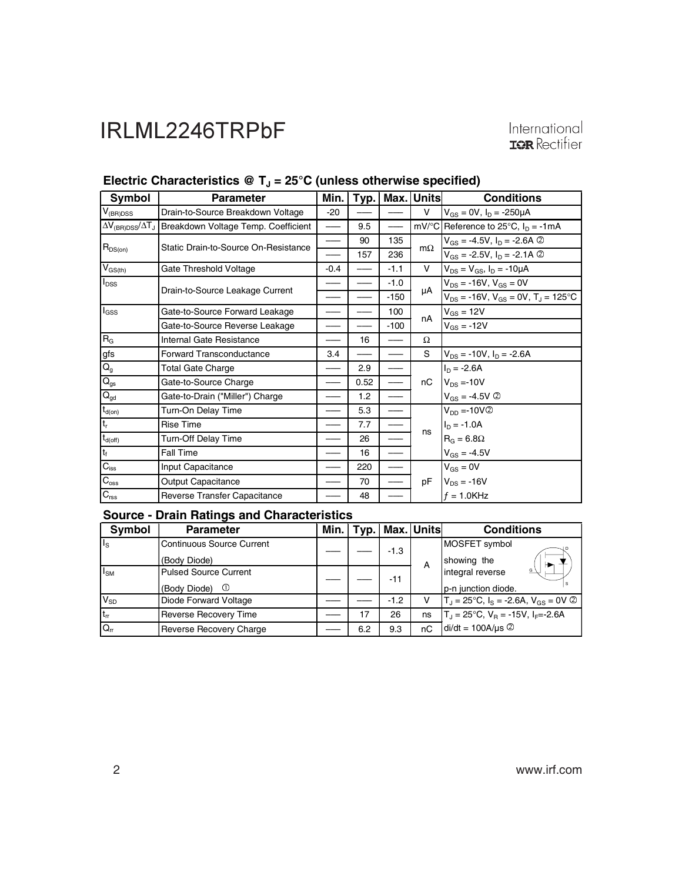| Symbol                    | <b>Parameter</b>                                                              | Min.   | Typ. | Max.   | <b>Units</b> | <b>Conditions</b>                                      |
|---------------------------|-------------------------------------------------------------------------------|--------|------|--------|--------------|--------------------------------------------------------|
| $V_{(BR)DSS}$             | Drain-to-Source Breakdown Voltage                                             | $-20$  |      |        | V            | $V_{GS} = 0V$ , $I_D = -250 \mu A$                     |
|                           | $\Delta V_{\rm (BR)DSS}/\Delta T_{\rm J}$ Breakdown Voltage Temp. Coefficient |        | 9.5  |        |              | mV/°C Reference to 25°C, $I_D = -1mA$                  |
|                           | Static Drain-to-Source On-Resistance                                          |        | 90   | 135    | $m\Omega$    | $V_{GS} = -4.5V$ , $I_D = -2.6A$ ©                     |
| $R_{DS(on)}$              |                                                                               |        | 157  | 236    |              | $V_{GS} = -2.5V$ , $I_D = -2.1A$ 2                     |
| $V_{GS(th)}$              | Gate Threshold Voltage                                                        | $-0.4$ |      | $-1.1$ | V            | $V_{DS} = V_{GS}$ , $I_D = -10 \mu A$                  |
| $I_{DSS}$                 | Drain-to-Source Leakage Current                                               |        |      | $-1.0$ |              | $V_{DS} = -16V$ , $V_{GS} = 0V$                        |
|                           |                                                                               |        |      | $-150$ | μA           | $V_{DS}$ = -16V, $V_{GS}$ = 0V, T <sub>J</sub> = 125°C |
| $I_{GSS}$                 | Gate-to-Source Forward Leakage                                                |        |      | 100    | nA           | $V_{GS} = 12V$                                         |
|                           | Gate-to-Source Reverse Leakage                                                |        |      | $-100$ |              | $V_{GS} = -12V$                                        |
| R <sub>G</sub>            | Internal Gate Resistance                                                      |        | 16   |        | Ω            |                                                        |
| gfs                       | <b>Forward Transconductance</b>                                               | 3.4    |      |        | S            | $V_{DS}$ = -10V, $I_D$ = -2.6A                         |
| $\overline{Q_g}$          | Total Gate Charge                                                             |        | 2.9  | ——     |              | $I_n = -2.6A$                                          |
| $Q_{gs}$                  | Gate-to-Source Charge                                                         |        | 0.52 |        | nC           | $V_{DS} = -10V$                                        |
| $\mathbf{Q}_{\text{gd}}$  | Gate-to-Drain ("Miller") Charge                                               |        | 1.2  |        |              | $V_{GS} = -4.5V$ ②                                     |
| $t_{d(on)}$               | Turn-On Delay Time                                                            |        | 5.3  |        |              | $V_{DD} = -10V$ ②                                      |
| $\mathsf{t}_{\mathsf{r}}$ | <b>Rise Time</b>                                                              |        | 7.7  |        |              | $I_D = -1.0A$                                          |
| $t_{d(off)}$              | Turn-Off Delay Time                                                           |        | 26   |        | ns           | $R_G = 6.8\Omega$                                      |
| $\mathsf{t}_{\mathsf{f}}$ | Fall Time                                                                     |        | 16   |        |              | $V_{GS} = -4.5V$                                       |
| $C_{\text{iss}}$          | Input Capacitance                                                             |        | 220  |        |              | $V_{GS} = 0V$                                          |
| $C_{\rm oss}$             | Output Capacitance                                                            |        | 70   |        | рF           | $V_{DS}$ = -16V                                        |
| $C_{\text{rss}}$          | Reverse Transfer Capacitance                                                  |        | 48   |        |              | $f = 1.0$ KHz                                          |

### Electric Characteristics @ T<sub>J</sub> = 25°C (unless otherwise specified)

#### **Source - Drain Ratings and Characteristics**

| Symbol                  | <b>Parameter</b>                 | Min. |     |        | Typ.   Max.   Units | <b>Conditions</b>                                                |
|-------------------------|----------------------------------|------|-----|--------|---------------------|------------------------------------------------------------------|
| $\mathsf{I}_\mathsf{S}$ | <b>Continuous Source Current</b> |      |     | $-1.3$ |                     | MOSFET symbol                                                    |
|                         | (Body Diode)                     |      |     |        | A                   | showing the                                                      |
| $I_{\text{SM}}$         | <b>Pulsed Source Current</b>     |      |     | $-11$  |                     | integral reverse                                                 |
|                         | (Body Diode) <sup>①</sup>        |      |     |        |                     | p-n junction diode.                                              |
| $V_{SD}$                | Diode Forward Voltage            |      |     | $-1.2$ | v                   | $T_J = 25^{\circ}C$ , $I_S = -2.6A$ , $V_{GS} = 0V$ 2            |
| $ t_{rr} $              | <b>Reverse Recovery Time</b>     |      |     | 26     | ns                  | $T_{\rm d}$ = 25°C, V <sub>B</sub> = -15V, I <sub>F</sub> =-2.6A |
| $\overline{Q_{rr}}$     | <b>Reverse Recovery Charge</b>   |      | 6.2 | 9.3    | nC                  | $di/dt = 100A/\mu s$                                             |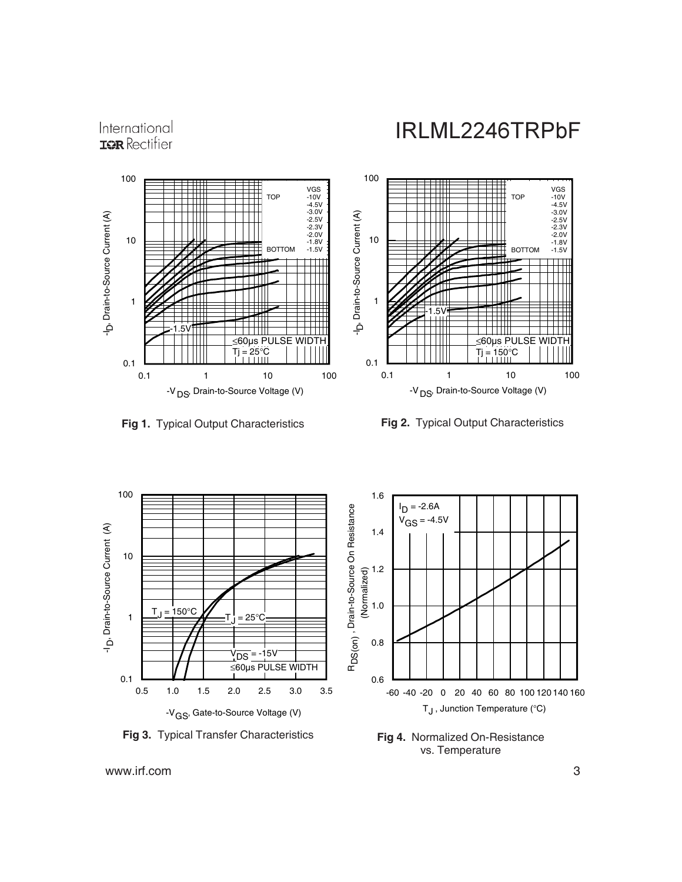







**Fig 4.** Normalized On-Resistance vs. Temperature

www.irf.com 3

International TOR Rectifier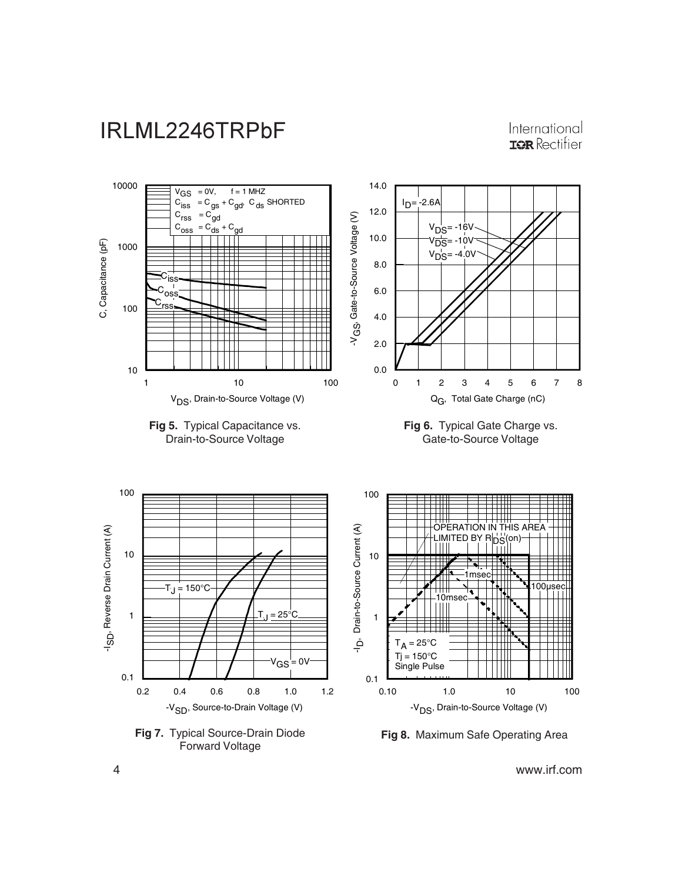

International **IOR** Rectifier

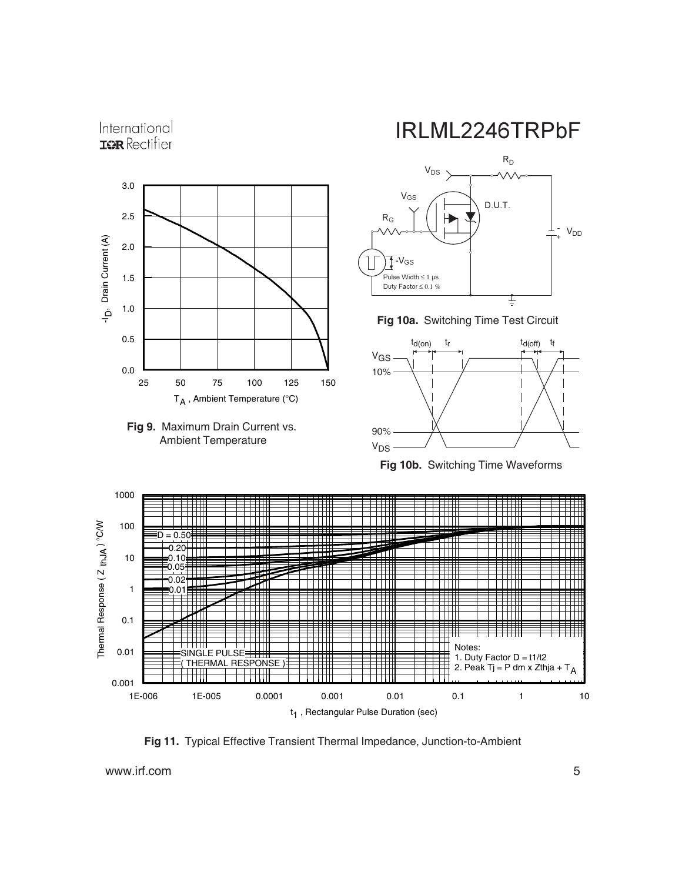







**Fig 10a.** Switching Time Test Circuit



**Fig 10b.** Switching Time Waveforms



**Fig 11.** Typical Effective Transient Thermal Impedance, Junction-to-Ambient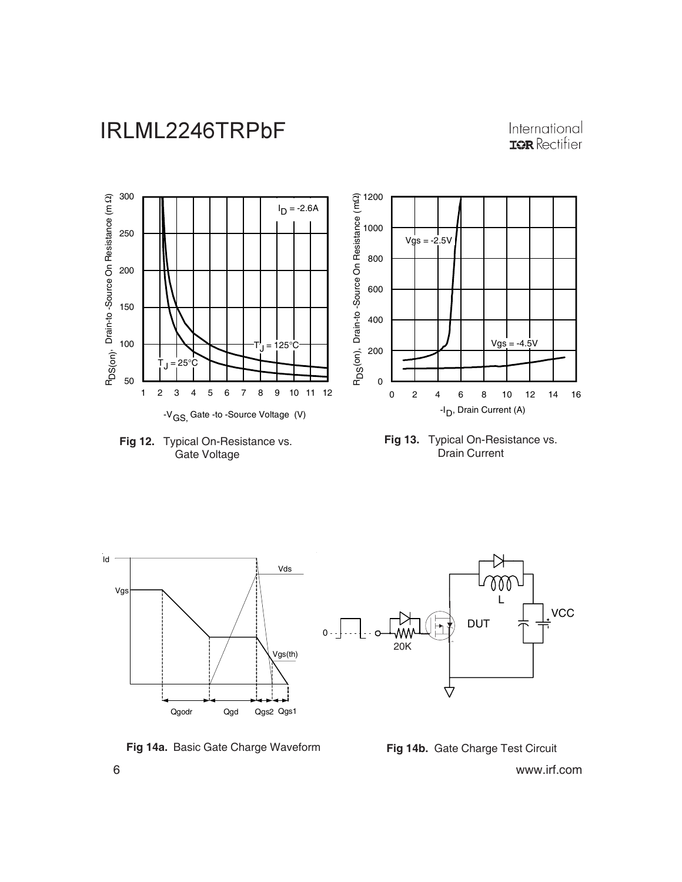#### International **IOR** Rectifier









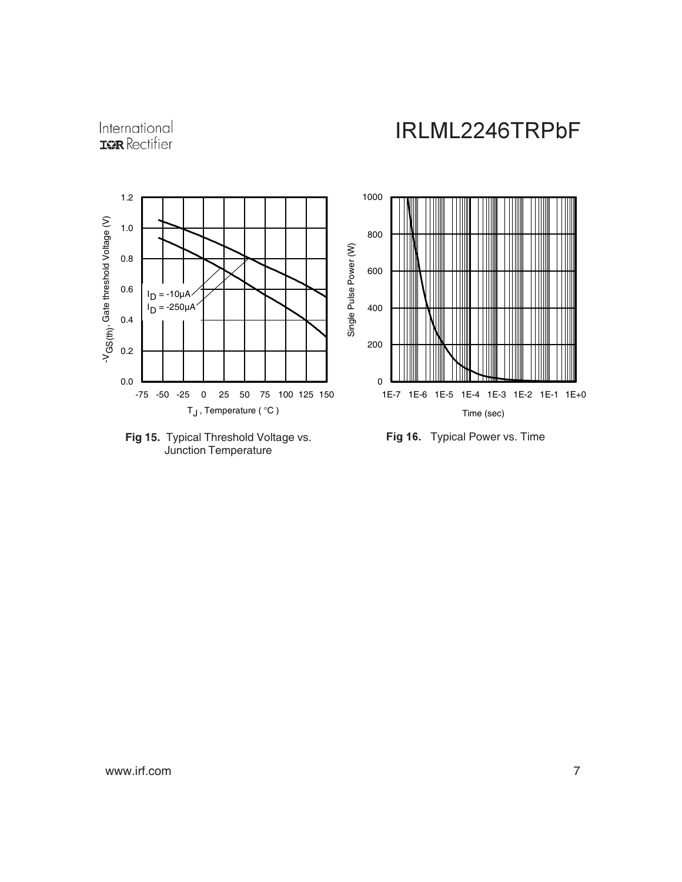





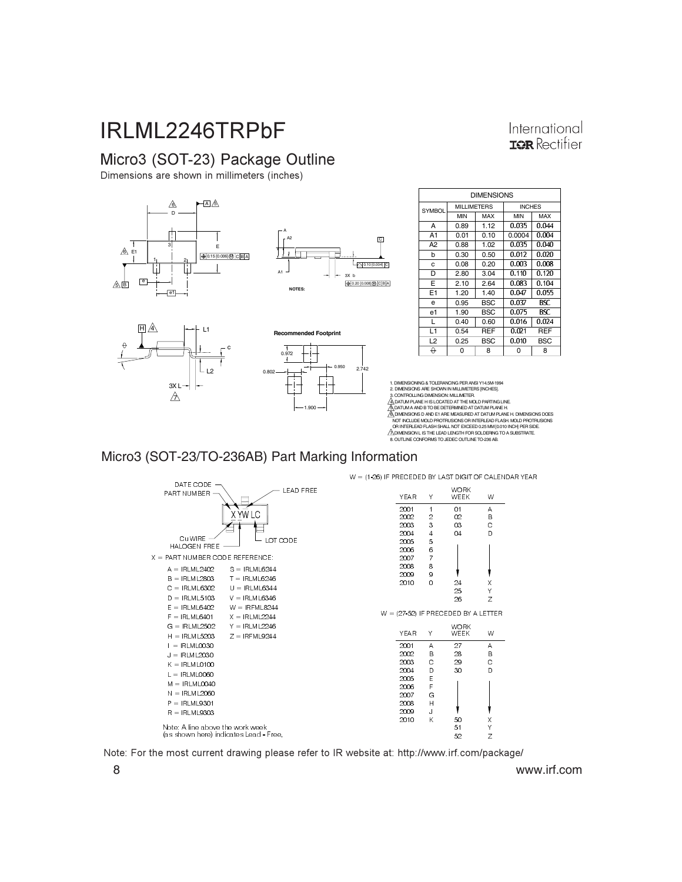#### International **ISR** Rectifier

#### Micro3 (SOT-23) Package Outline

Dimensions are shown in millimeters (inches)



1.900

| <b>DIMENSIONS</b> |                    |            |               |       |  |
|-------------------|--------------------|------------|---------------|-------|--|
| <b>SYMBOL</b>     | <b>MILLIMETERS</b> |            | <b>INCHES</b> |       |  |
|                   | MIN                | MAX        | MIN           | MAX   |  |
| А                 | 0.89               | 1.12       | 0.035         | 0.044 |  |
| A1                | 0.01               | 0.10       | 0.0004        | 0.004 |  |
| A2                | 0.88               | 1.02       | 0.035         | 0.040 |  |
| b                 | 0.30               | 0.50       | 0.012         | 0.020 |  |
| c                 | 0.08               | 0.20       | 0.003         | 0.008 |  |
| D                 | 2.80               | 3.04       | 0.110         | 0.120 |  |
| Е                 | 2.10               | 2.64       | 0.083         | 0.104 |  |
| E <sub>1</sub>    | 1.20               | 1.40       | 0.047         | 0.055 |  |
| e                 | 0.95               | BSC        | 0.037         | BSC.  |  |
| e1                | 1.90               | <b>BSC</b> | 0.075         | BSC   |  |
| L                 | 0.40               | 0.60       | 0.016         | 0.024 |  |
| L1                | 0.54               | REF        | 0.021         | REF   |  |
| L2                | 0.25               | BSC        | 0.010         | BSC   |  |
| ↔                 | 0                  | 8          | ი             | 8     |  |

1. DIMENSIONING & TOLERANCING PER ANSI Y14.5M-1994 2. DIMENSIONS ARE SHOWN IN MILLIMETERS [INCHES]. 3. CONTROLLING DIMENSION: MILLIMETER.<br>4 DATUM PLANE HIS LOCATED AT THE MOLD PARTING LINE. ΑΔΟΛΊΜΗ ΡΑΝΈ Η ISLOCATED AT THE MOLD PARTING LINE<br>ΑΔΟΛΊΜΗ ΡΑΝΈ Η SUCCATED AT THE MOLD PARTING LINE<br>ΑΔΟΛΊΡΙΟΣΟΝ SU AND ET ARE MEASURED AT DATUM PLANE H. DIMENSIONS DOES<br>NOT INCLUDE MOLD PROTRUSIONS OR INTERLEAD FLASH MOLD

Micro3 (SOT-23/TO-236AB) Part Marking Information



Note: For the most current drawing please refer to IR website at: http://www.irf.com/package/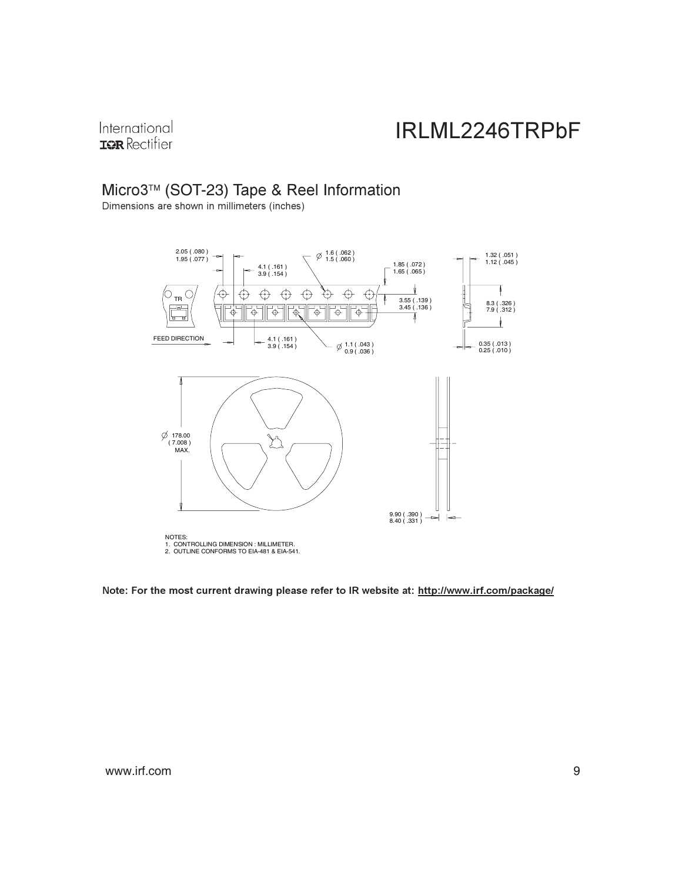International **IQR** Rectifier

#### Micro3™ (SOT-23) Tape & Reel Information

Dimensions are shown in millimeters (inches)



Note: For the most current drawing please refer to IR website at: <u>http://www.irf.com/package/</u>